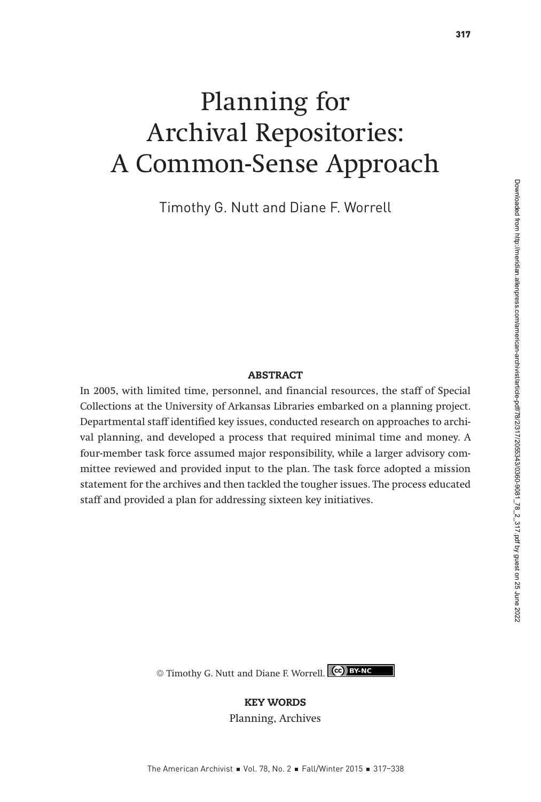# Planning for Archival Repositories: A Common-Sense Approach

Timothy G. Nutt and Diane F. Worrell

#### **ABSTRACT**

In 2005, with limited time, personnel, and financial resources, the staff of Special Collections at the University of Arkansas Libraries embarked on a planning project. Departmental staff identified key issues, conducted research on approaches to archival planning, and developed a process that required minimal time and money. A four-member task force assumed major responsibility, while a larger advisory committee reviewed and provided input to the plan. The task force adopted a mission statement for the archives and then tackled the tougher issues. The process educated staff and provided a plan for addressing sixteen key initiatives.

© Timothy G. Nutt and Diane F. Worrell. CC BY-NC

#### KEY WORDS

Planning, Archives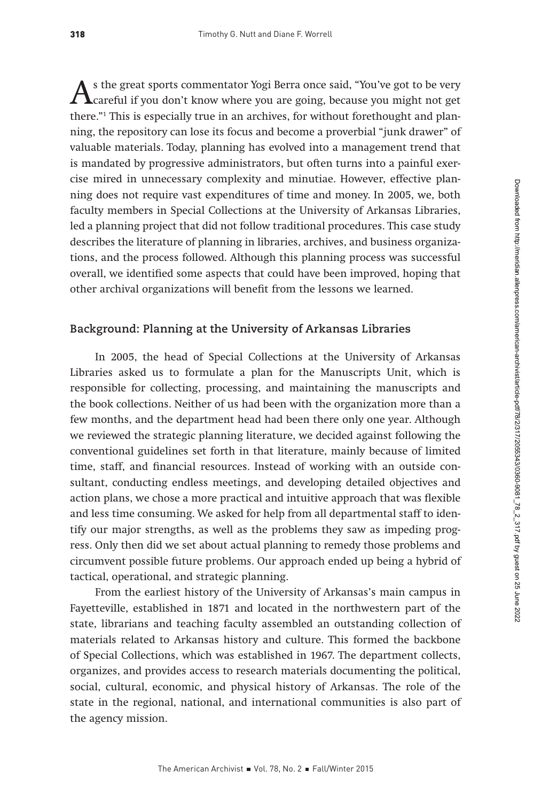As the great sports commentator Yogi Berra once said, "You've got to be very<br>careful if you don't know where you are going, because you might not get<br>there "! This is appoially two in an applicate for without for the value there."1 This is especially true in an archives, for without forethought and planning, the repository can lose its focus and become a proverbial "junk drawer" of valuable materials. Today, planning has evolved into a management trend that is mandated by progressive administrators, but often turns into a painful exercise mired in unnecessary complexity and minutiae. However, effective planning does not require vast expenditures of time and money. In 2005, we, both faculty members in Special Collections at the University of Arkansas Libraries, led a planning project that did not follow traditional procedures. This case study describes the literature of planning in libraries, archives, and business organizations, and the process followed. Although this planning process was successful overall, we identified some aspects that could have been improved, hoping that other archival organizations will benefit from the lessons we learned.

## **Background: Planning at the University of Arkansas Libraries**

In 2005, the head of Special Collections at the University of Arkansas Libraries asked us to formulate a plan for the Manuscripts Unit, which is responsible for collecting, processing, and maintaining the manuscripts and the book collections. Neither of us had been with the organization more than a few months, and the department head had been there only one year. Although we reviewed the strategic planning literature, we decided against following the conventional guidelines set forth in that literature, mainly because of limited time, staff, and financial resources. Instead of working with an outside consultant, conducting endless meetings, and developing detailed objectives and action plans, we chose a more practical and intuitive approach that was flexible and less time consuming. We asked for help from all departmental staff to identify our major strengths, as well as the problems they saw as impeding progress. Only then did we set about actual planning to remedy those problems and circumvent possible future problems. Our approach ended up being a hybrid of tactical, operational, and strategic planning.

From the earliest history of the University of Arkansas's main campus in Fayetteville, established in 1871 and located in the northwestern part of the state, librarians and teaching faculty assembled an outstanding collection of materials related to Arkansas history and culture. This formed the backbone of Special Collections, which was established in 1967. The department collects, organizes, and provides access to research materials documenting the political, social, cultural, economic, and physical history of Arkansas. The role of the state in the regional, national, and international communities is also part of the agency mission.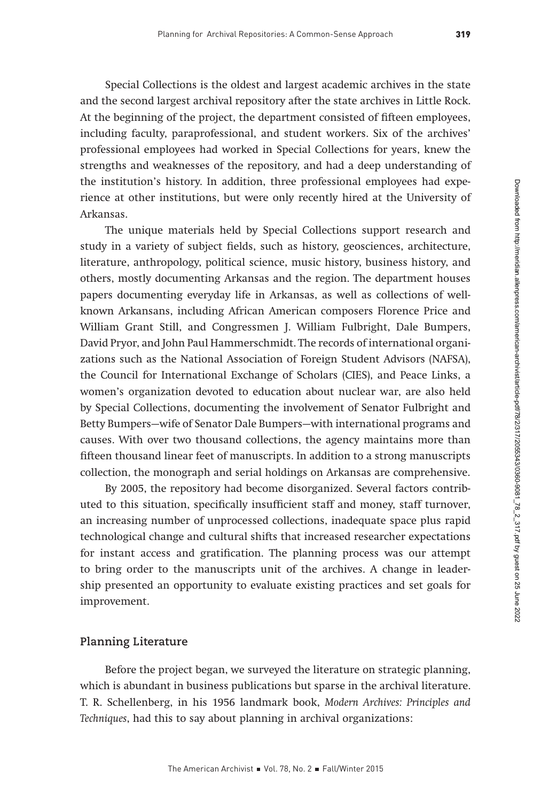Special Collections is the oldest and largest academic archives in the state and the second largest archival repository after the state archives in Little Rock. At the beginning of the project, the department consisted of fifteen employees, including faculty, paraprofessional, and student workers. Six of the archives' professional employees had worked in Special Collections for years, knew the strengths and weaknesses of the repository, and had a deep understanding of the institution's history. In addition, three professional employees had experience at other institutions, but were only recently hired at the University of Arkansas.

The unique materials held by Special Collections support research and study in a variety of subject fields, such as history, geosciences, architecture, literature, anthropology, political science, music history, business history, and others, mostly documenting Arkansas and the region. The department houses papers documenting everyday life in Arkansas, as well as collections of wellknown Arkansans, including African American composers Florence Price and William Grant Still, and Congressmen J. William Fulbright, Dale Bumpers, David Pryor, and John Paul Hammerschmidt. The records of international organizations such as the National Association of Foreign Student Advisors (NAFSA), the Council for International Exchange of Scholars (CIES), and Peace Links, a women's organization devoted to education about nuclear war, are also held by Special Collections, documenting the involvement of Senator Fulbright and Betty Bumpers—wife of Senator Dale Bumpers—with international programs and causes. With over two thousand collections, the agency maintains more than fifteen thousand linear feet of manuscripts. In addition to a strong manuscripts collection, the monograph and serial holdings on Arkansas are comprehensive.

By 2005, the repository had become disorganized. Several factors contributed to this situation, specifically insufficient staff and money, staff turnover, an increasing number of unprocessed collections, inadequate space plus rapid technological change and cultural shifts that increased researcher expectations for instant access and gratification. The planning process was our attempt to bring order to the manuscripts unit of the archives. A change in leadership presented an opportunity to evaluate existing practices and set goals for improvement.

#### **Planning Literature**

Before the project began, we surveyed the literature on strategic planning, which is abundant in business publications but sparse in the archival literature. T. R. Schellenberg, in his 1956 landmark book, Modern Archives: Principles and Techniques, had this to say about planning in archival organizations: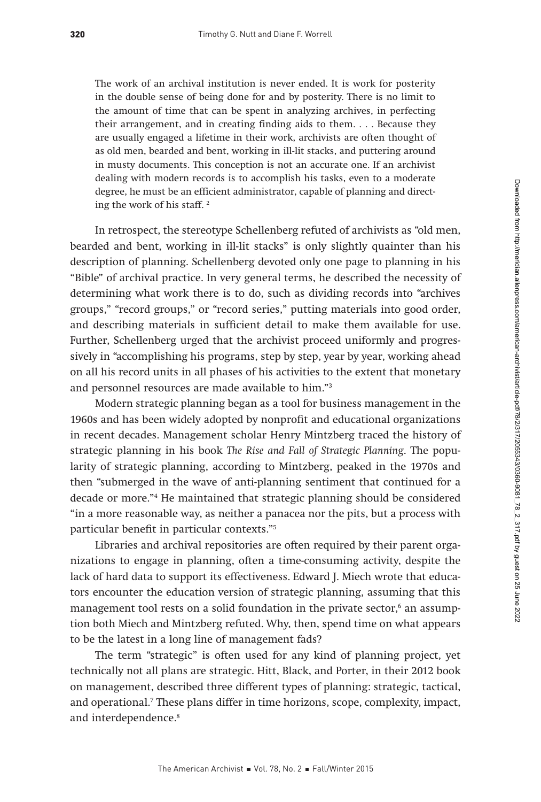The work of an archival institution is never ended. It is work for posterity in the double sense of being done for and by posterity. There is no limit to the amount of time that can be spent in analyzing archives, in perfecting their arrangement, and in creating finding aids to them. . . . Because they are usually engaged a lifetime in their work, archivists are often thought of as old men, bearded and bent, working in ill-lit stacks, and puttering around in musty documents. This conception is not an accurate one. If an archivist dealing with modern records is to accomplish his tasks, even to a moderate degree, he must be an efficient administrator, capable of planning and directing the work of his staff. 2

In retrospect, the stereotype Schellenberg refuted of archivists as "old men, bearded and bent, working in ill-lit stacks" is only slightly quainter than his description of planning. Schellenberg devoted only one page to planning in his "Bible" of archival practice. In very general terms, he described the necessity of determining what work there is to do, such as dividing records into "archives groups," "record groups," or "record series," putting materials into good order, and describing materials in sufficient detail to make them available for use. Further, Schellenberg urged that the archivist proceed uniformly and progressively in "accomplishing his programs, step by step, year by year, working ahead on all his record units in all phases of his activities to the extent that monetary and personnel resources are made available to him."3

Modern strategic planning began as a tool for business management in the 1960s and has been widely adopted by nonprofit and educational organizations in recent decades. Management scholar Henry Mintzberg traced the history of strategic planning in his book The Rise and Fall of Strategic Planning. The popularity of strategic planning, according to Mintzberg, peaked in the 1970s and then "submerged in the wave of anti-planning sentiment that continued for a decade or more."4 He maintained that strategic planning should be considered "in a more reasonable way, as neither a panacea nor the pits, but a process with particular benefit in particular contexts."5

Libraries and archival repositories are often required by their parent organizations to engage in planning, often a time-consuming activity, despite the lack of hard data to support its effectiveness. Edward J. Miech wrote that educators encounter the education version of strategic planning, assuming that this management tool rests on a solid foundation in the private sector,<sup>6</sup> an assumption both Miech and Mintzberg refuted. Why, then, spend time on what appears to be the latest in a long line of management fads?

The term "strategic" is often used for any kind of planning project, yet technically not all plans are strategic. Hitt, Black, and Porter, in their 2012 book on management, described three different types of planning: strategic, tactical, and operational.7 These plans differ in time horizons, scope, complexity, impact, and interdependence.<sup>8</sup>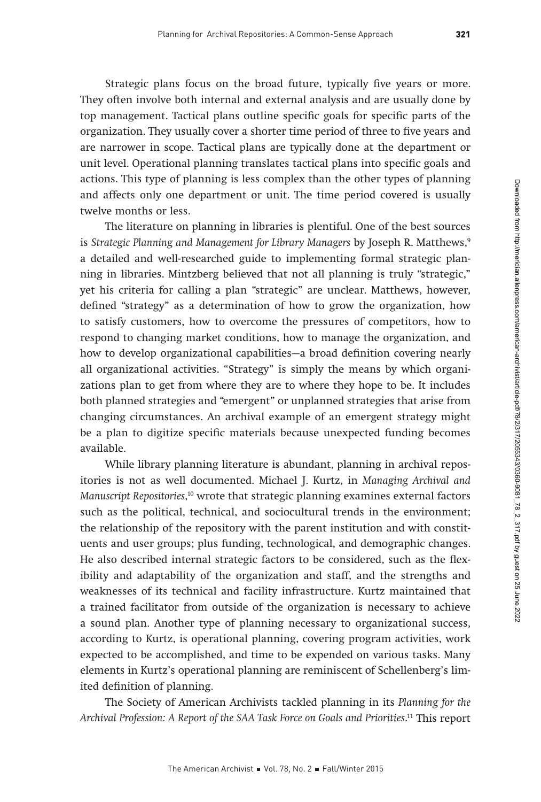Strategic plans focus on the broad future, typically five years or more. They often involve both internal and external analysis and are usually done by top management. Tactical plans outline specific goals for specific parts of the organization. They usually cover a shorter time period of three to five years and are narrower in scope. Tactical plans are typically done at the department or unit level. Operational planning translates tactical plans into specific goals and actions. This type of planning is less complex than the other types of planning and affects only one department or unit. The time period covered is usually twelve months or less.

The literature on planning in libraries is plentiful. One of the best sources is Strategic Planning and Management for Library Managers by Joseph R. Matthews,<sup>9</sup> a detailed and well-researched guide to implementing formal strategic planning in libraries. Mintzberg believed that not all planning is truly "strategic," yet his criteria for calling a plan "strategic" are unclear. Matthews, however, defined "strategy" as a determination of how to grow the organization, how to satisfy customers, how to overcome the pressures of competitors, how to respond to changing market conditions, how to manage the organization, and how to develop organizational capabilities—a broad definition covering nearly all organizational activities. "Strategy" is simply the means by which organizations plan to get from where they are to where they hope to be. It includes both planned strategies and "emergent" or unplanned strategies that arise from changing circumstances. An archival example of an emergent strategy might be a plan to digitize specific materials because unexpected funding becomes available.

While library planning literature is abundant, planning in archival repositories is not as well documented. Michael J. Kurtz, in Managing Archival and Manuscript Repositories, 10 wrote that strategic planning examines external factors such as the political, technical, and sociocultural trends in the environment; the relationship of the repository with the parent institution and with constituents and user groups; plus funding, technological, and demographic changes. He also described internal strategic factors to be considered, such as the flexibility and adaptability of the organization and staff, and the strengths and weaknesses of its technical and facility infrastructure. Kurtz maintained that a trained facilitator from outside of the organization is necessary to achieve a sound plan. Another type of planning necessary to organizational success, according to Kurtz, is operational planning, covering program activities, work expected to be accomplished, and time to be expended on various tasks. Many elements in Kurtz's operational planning are reminiscent of Schellenberg's limited definition of planning.

The Society of American Archivists tackled planning in its Planning for the Archival Profession: A Report of the SAA Task Force on Goals and Priorities. 11 This report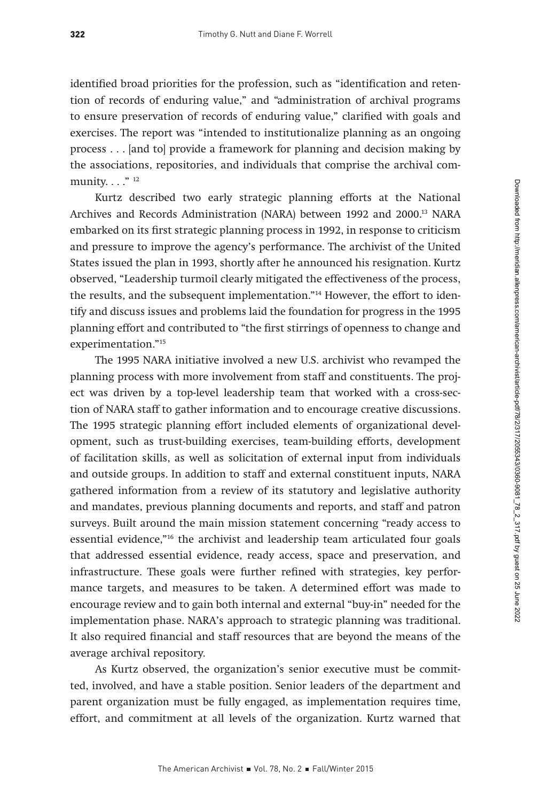identified broad priorities for the profession, such as "identification and retention of records of enduring value," and "administration of archival programs to ensure preservation of records of enduring value," clarified with goals and exercises. The report was "intended to institutionalize planning as an ongoing process . . . [and to] provide a framework for planning and decision making by the associations, repositories, and individuals that comprise the archival community.  $\ldots$ ."<sup>12</sup>

Kurtz described two early strategic planning efforts at the National Archives and Records Administration (NARA) between 1992 and 2000.<sup>13</sup> NARA embarked on its first strategic planning process in 1992, in response to criticism and pressure to improve the agency's performance. The archivist of the United States issued the plan in 1993, shortly after he announced his resignation. Kurtz observed, "Leadership turmoil clearly mitigated the effectiveness of the process, the results, and the subsequent implementation."14 However, the effort to identify and discuss issues and problems laid the foundation for progress in the 1995 planning effort and contributed to "the first stirrings of openness to change and experimentation."15

The 1995 NARA initiative involved a new U.S. archivist who revamped the planning process with more involvement from staff and constituents. The project was driven by a top-level leadership team that worked with a cross-section of NARA staff to gather information and to encourage creative discussions. The 1995 strategic planning effort included elements of organizational development, such as trust-building exercises, team-building efforts, development of facilitation skills, as well as solicitation of external input from individuals and outside groups. In addition to staff and external constituent inputs, NARA gathered information from a review of its statutory and legislative authority and mandates, previous planning documents and reports, and staff and patron surveys. Built around the main mission statement concerning "ready access to essential evidence,"<sup>16</sup> the archivist and leadership team articulated four goals that addressed essential evidence, ready access, space and preservation, and infrastructure. These goals were further refined with strategies, key performance targets, and measures to be taken. A determined effort was made to encourage review and to gain both internal and external "buy-in" needed for the implementation phase. NARA's approach to strategic planning was traditional. It also required financial and staff resources that are beyond the means of the average archival repository.

As Kurtz observed, the organization's senior executive must be committed, involved, and have a stable position. Senior leaders of the department and parent organization must be fully engaged, as implementation requires time, effort, and commitment at all levels of the organization. Kurtz warned that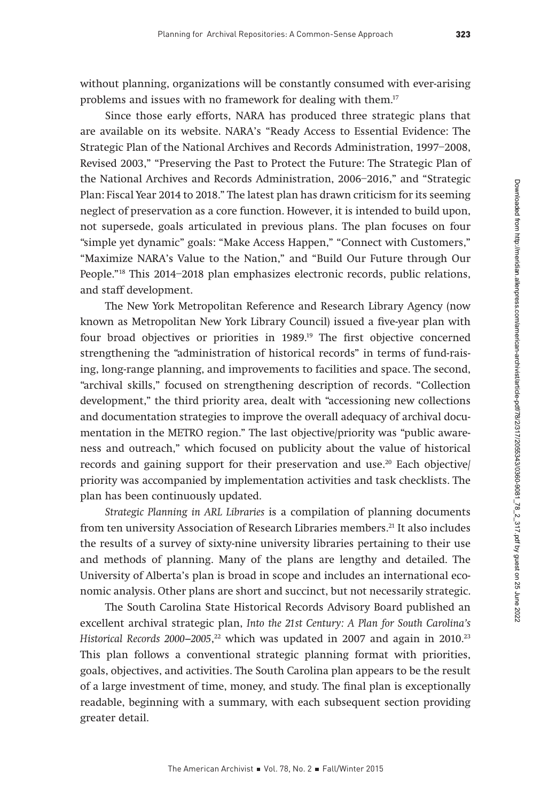without planning, organizations will be constantly consumed with ever-arising problems and issues with no framework for dealing with them.17

Since those early efforts, NARA has produced three strategic plans that are available on its website. NARA's "Ready Access to Essential Evidence: The Strategic Plan of the National Archives and Records Administration, 1997–2008, Revised 2003," "Preserving the Past to Protect the Future: The Strategic Plan of the National Archives and Records Administration, 2006–2016," and "Strategic Plan: Fiscal Year 2014 to 2018." The latest plan has drawn criticism for its seeming neglect of preservation as a core function. However, it is intended to build upon, not supersede, goals articulated in previous plans. The plan focuses on four "simple yet dynamic" goals: "Make Access Happen," "Connect with Customers," "Maximize NARA's Value to the Nation," and "Build Our Future through Our People."18 This 2014–2018 plan emphasizes electronic records, public relations, and staff development.

The New York Metropolitan Reference and Research Library Agency (now known as Metropolitan New York Library Council) issued a five-year plan with four broad objectives or priorities in 1989.<sup>19</sup> The first objective concerned strengthening the "administration of historical records" in terms of fund-raising, long-range planning, and improvements to facilities and space. The second, "archival skills," focused on strengthening description of records. "Collection development," the third priority area, dealt with "accessioning new collections and documentation strategies to improve the overall adequacy of archival documentation in the METRO region." The last objective/priority was "public awareness and outreach," which focused on publicity about the value of historical records and gaining support for their preservation and use.20 Each objective/ priority was accompanied by implementation activities and task checklists. The plan has been continuously updated.

Strategic Planning in ARL Libraries is a compilation of planning documents from ten university Association of Research Libraries members.21 It also includes the results of a survey of sixty-nine university libraries pertaining to their use and methods of planning. Many of the plans are lengthy and detailed. The University of Alberta's plan is broad in scope and includes an international economic analysis. Other plans are short and succinct, but not necessarily strategic.

The South Carolina State Historical Records Advisory Board published an excellent archival strategic plan, Into the 21st Century: A Plan for South Carolina's  $H$ istorical Records 2000–2005, $^{22}$  which was updated in 2007 and again in 2010. $^{23}$ This plan follows a conventional strategic planning format with priorities, goals, objectives, and activities. The South Carolina plan appears to be the result of a large investment of time, money, and study. The final plan is exceptionally readable, beginning with a summary, with each subsequent section providing greater detail.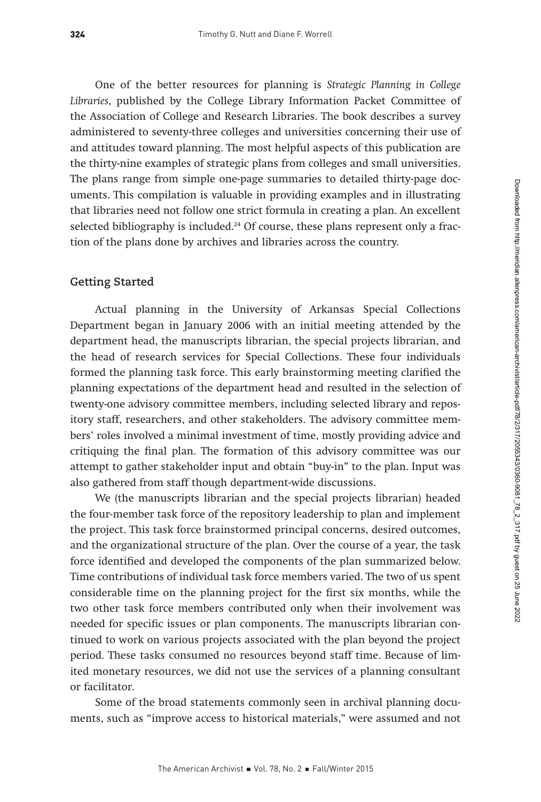One of the better resources for planning is Strategic Planning in College Libraries, published by the College Library Information Packet Committee of the Association of College and Research Libraries. The book describes a survey administered to seventy-three colleges and universities concerning their use of and attitudes toward planning. The most helpful aspects of this publication are the thirty-nine examples of strategic plans from colleges and small universities. The plans range from simple one-page summaries to detailed thirty-page documents. This compilation is valuable in providing examples and in illustrating that libraries need not follow one strict formula in creating a plan. An excellent selected bibliography is included. $24$  Of course, these plans represent only a fraction of the plans done by archives and libraries across the country.

## **Getting Started**

Actual planning in the University of Arkansas Special Collections Department began in January 2006 with an initial meeting attended by the department head, the manuscripts librarian, the special projects librarian, and the head of research services for Special Collections. These four individuals formed the planning task force. This early brainstorming meeting clarified the planning expectations of the department head and resulted in the selection of twenty-one advisory committee members, including selected library and repository staff, researchers, and other stakeholders. The advisory committee members' roles involved a minimal investment of time, mostly providing advice and critiquing the final plan. The formation of this advisory committee was our attempt to gather stakeholder input and obtain "buy-in" to the plan. Input was also gathered from staff though department-wide discussions.

We (the manuscripts librarian and the special projects librarian) headed the four-member task force of the repository leadership to plan and implement the project. This task force brainstormed principal concerns, desired outcomes, and the organizational structure of the plan. Over the course of a year, the task force identified and developed the components of the plan summarized below. Time contributions of individual task force members varied. The two of us spent considerable time on the planning project for the first six months, while the two other task force members contributed only when their involvement was needed for specific issues or plan components. The manuscripts librarian continued to work on various projects associated with the plan beyond the project period. These tasks consumed no resources beyond staff time. Because of limited monetary resources, we did not use the services of a planning consultant or facilitator.

Some of the broad statements commonly seen in archival planning documents, such as "improve access to historical materials," were assumed and not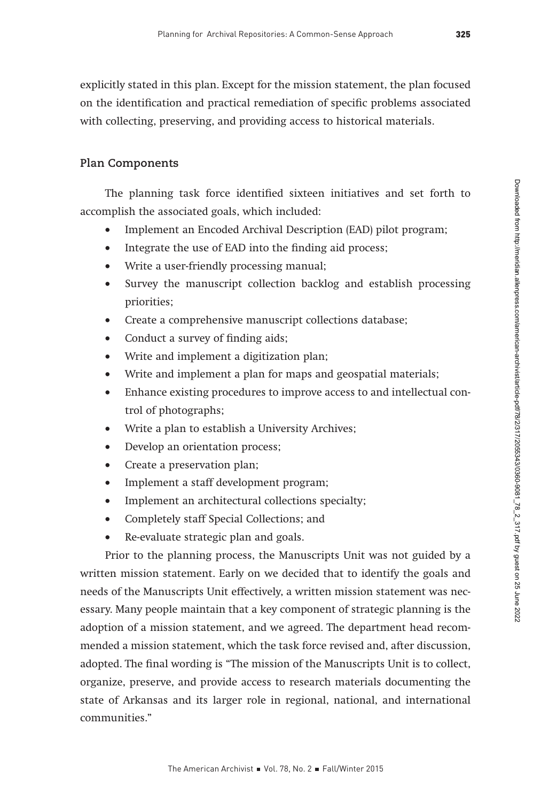explicitly stated in this plan. Except for the mission statement, the plan focused on the identification and practical remediation of specific problems associated with collecting, preserving, and providing access to historical materials.

#### **Plan Components**

The planning task force identified sixteen initiatives and set forth to accomplish the associated goals, which included:

- Implement an Encoded Archival Description (EAD) pilot program;
- Integrate the use of EAD into the finding aid process;
- Write a user-friendly processing manual;
- Survey the manuscript collection backlog and establish processing priorities;
- Create a comprehensive manuscript collections database;
- Conduct a survey of finding aids;
- Write and implement a digitization plan;
- Write and implement a plan for maps and geospatial materials;
- Enhance existing procedures to improve access to and intellectual control of photographs;
- Write a plan to establish a University Archives;
- Develop an orientation process;
- Create a preservation plan;
- Implement a staff development program;
- Implement an architectural collections specialty;
- Completely staff Special Collections; and
- Re-evaluate strategic plan and goals.

Prior to the planning process, the Manuscripts Unit was not guided by a written mission statement. Early on we decided that to identify the goals and needs of the Manuscripts Unit effectively, a written mission statement was necessary. Many people maintain that a key component of strategic planning is the adoption of a mission statement, and we agreed. The department head recommended a mission statement, which the task force revised and, after discussion, adopted. The final wording is "The mission of the Manuscripts Unit is to collect, organize, preserve, and provide access to research materials documenting the state of Arkansas and its larger role in regional, national, and international communities."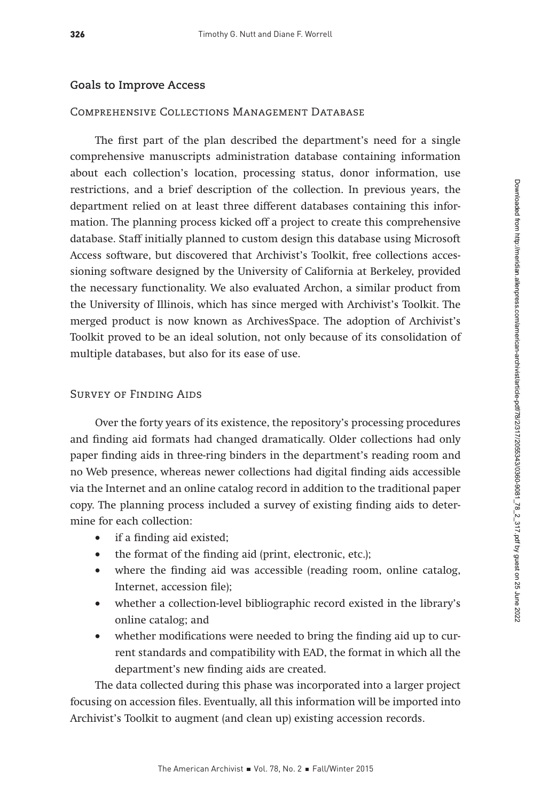## **Goals to Improve Access**

## Comprehensive Collections Management Database

The first part of the plan described the department's need for a single comprehensive manuscripts administration database containing information about each collection's location, processing status, donor information, use restrictions, and a brief description of the collection. In previous years, the department relied on at least three different databases containing this information. The planning process kicked off a project to create this comprehensive database. Staff initially planned to custom design this database using Microsoft Access software, but discovered that Archivist's Toolkit, free collections accessioning software designed by the University of California at Berkeley, provided the necessary functionality. We also evaluated Archon, a similar product from the University of Illinois, which has since merged with Archivist's Toolkit. The merged product is now known as ArchivesSpace. The adoption of Archivist's Toolkit proved to be an ideal solution, not only because of its consolidation of multiple databases, but also for its ease of use.

## Survey of Finding Aids

Over the forty years of its existence, the repository's processing procedures and finding aid formats had changed dramatically. Older collections had only paper finding aids in three-ring binders in the department's reading room and no Web presence, whereas newer collections had digital finding aids accessible via the Internet and an online catalog record in addition to the traditional paper copy. The planning process included a survey of existing finding aids to determine for each collection:

- if a finding aid existed;
- the format of the finding aid (print, electronic, etc.);
- where the finding aid was accessible (reading room, online catalog, Internet, accession file);
- whether a collection-level bibliographic record existed in the library's online catalog; and
- whether modifications were needed to bring the finding aid up to current standards and compatibility with EAD, the format in which all the department's new finding aids are created.

The data collected during this phase was incorporated into a larger project focusing on accession files. Eventually, all this information will be imported into Archivist's Toolkit to augment (and clean up) existing accession records.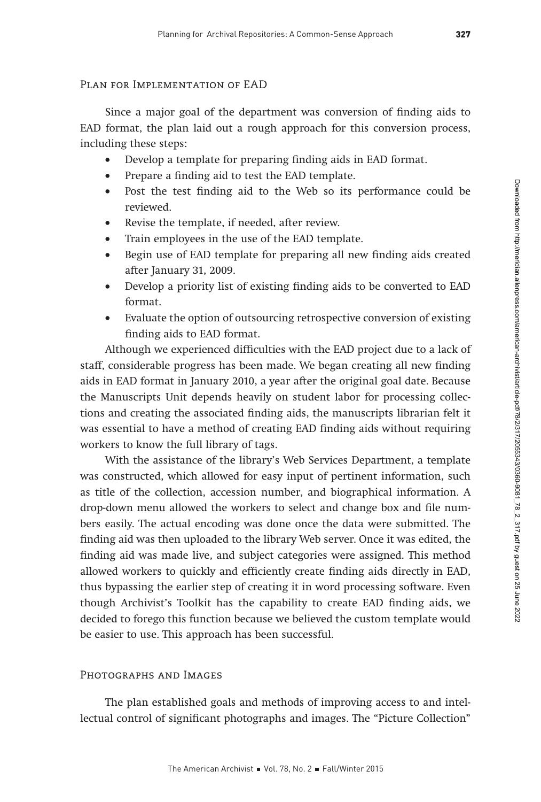#### Plan for Implementation of EAD

Since a major goal of the department was conversion of finding aids to EAD format, the plan laid out a rough approach for this conversion process, including these steps:

- Develop a template for preparing finding aids in EAD format.
- Prepare a finding aid to test the EAD template.
- Post the test finding aid to the Web so its performance could be reviewed.
- Revise the template, if needed, after review.
- Train employees in the use of the EAD template.
- Begin use of EAD template for preparing all new finding aids created after January 31, 2009.
- Develop a priority list of existing finding aids to be converted to EAD format.
- Evaluate the option of outsourcing retrospective conversion of existing finding aids to EAD format.

Although we experienced difficulties with the EAD project due to a lack of staff, considerable progress has been made. We began creating all new finding aids in EAD format in January 2010, a year after the original goal date. Because the Manuscripts Unit depends heavily on student labor for processing collections and creating the associated finding aids, the manuscripts librarian felt it was essential to have a method of creating EAD finding aids without requiring workers to know the full library of tags.

With the assistance of the library's Web Services Department, a template was constructed, which allowed for easy input of pertinent information, such as title of the collection, accession number, and biographical information. A drop-down menu allowed the workers to select and change box and file numbers easily. The actual encoding was done once the data were submitted. The finding aid was then uploaded to the library Web server. Once it was edited, the finding aid was made live, and subject categories were assigned. This method allowed workers to quickly and efficiently create finding aids directly in EAD, thus bypassing the earlier step of creating it in word processing software. Even though Archivist's Toolkit has the capability to create EAD finding aids, we decided to forego this function because we believed the custom template would be easier to use. This approach has been successful.

#### Photographs and Images

The plan established goals and methods of improving access to and intellectual control of significant photographs and images. The "Picture Collection"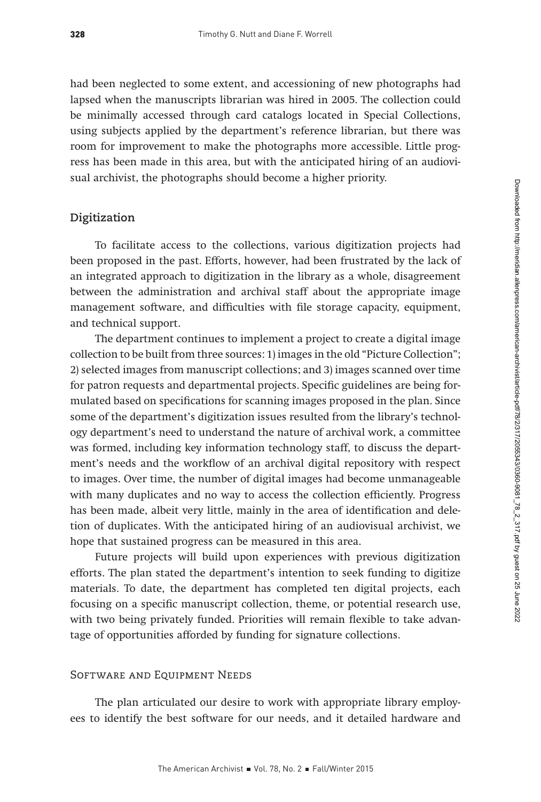had been neglected to some extent, and accessioning of new photographs had lapsed when the manuscripts librarian was hired in 2005. The collection could be minimally accessed through card catalogs located in Special Collections, using subjects applied by the department's reference librarian, but there was room for improvement to make the photographs more accessible. Little progress has been made in this area, but with the anticipated hiring of an audiovisual archivist, the photographs should become a higher priority.

## **Digitization**

To facilitate access to the collections, various digitization projects had been proposed in the past. Efforts, however, had been frustrated by the lack of an integrated approach to digitization in the library as a whole, disagreement between the administration and archival staff about the appropriate image management software, and difficulties with file storage capacity, equipment, and technical support.

The department continues to implement a project to create a digital image collection to be built from three sources: 1) images in the old "Picture Collection"; 2) selected images from manuscript collections; and 3) images scanned over time for patron requests and departmental projects. Specific guidelines are being formulated based on specifications for scanning images proposed in the plan. Since some of the department's digitization issues resulted from the library's technology department's need to understand the nature of archival work, a committee was formed, including key information technology staff, to discuss the department's needs and the workflow of an archival digital repository with respect to images. Over time, the number of digital images had become unmanageable with many duplicates and no way to access the collection efficiently. Progress has been made, albeit very little, mainly in the area of identification and deletion of duplicates. With the anticipated hiring of an audiovisual archivist, we hope that sustained progress can be measured in this area.

Future projects will build upon experiences with previous digitization efforts. The plan stated the department's intention to seek funding to digitize materials. To date, the department has completed ten digital projects, each focusing on a specific manuscript collection, theme, or potential research use, with two being privately funded. Priorities will remain flexible to take advantage of opportunities afforded by funding for signature collections.

#### Software and Equipment Needs

The plan articulated our desire to work with appropriate library employees to identify the best software for our needs, and it detailed hardware and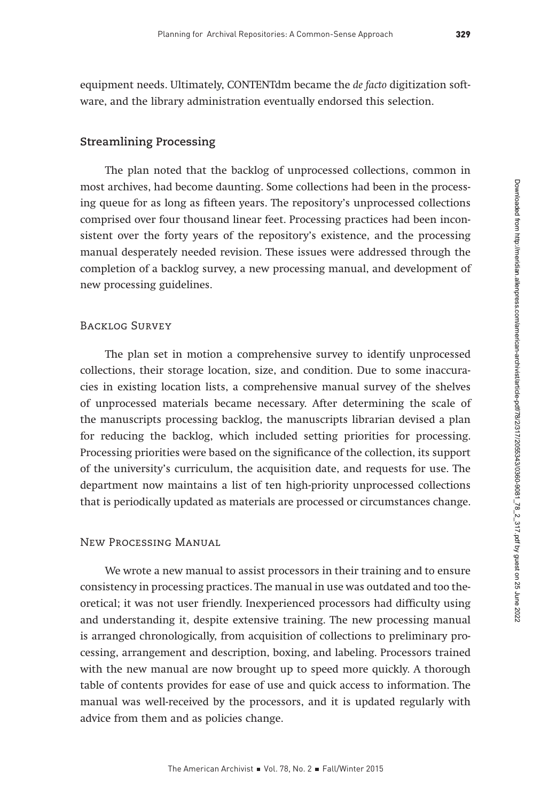equipment needs. Ultimately, CONTENTdm became the de facto digitization software, and the library administration eventually endorsed this selection.

## **Streamlining Processing**

The plan noted that the backlog of unprocessed collections, common in most archives, had become daunting. Some collections had been in the processing queue for as long as fifteen years. The repository's unprocessed collections comprised over four thousand linear feet. Processing practices had been inconsistent over the forty years of the repository's existence, and the processing manual desperately needed revision. These issues were addressed through the completion of a backlog survey, a new processing manual, and development of new processing guidelines.

## Backlog Survey

The plan set in motion a comprehensive survey to identify unprocessed collections, their storage location, size, and condition. Due to some inaccuracies in existing location lists, a comprehensive manual survey of the shelves of unprocessed materials became necessary. After determining the scale of the manuscripts processing backlog, the manuscripts librarian devised a plan for reducing the backlog, which included setting priorities for processing. Processing priorities were based on the significance of the collection, its support of the university's curriculum, the acquisition date, and requests for use. The department now maintains a list of ten high-priority unprocessed collections that is periodically updated as materials are processed or circumstances change.

#### New Processing Manual

We wrote a new manual to assist processors in their training and to ensure consistency in processing practices. The manual in use was outdated and too theoretical; it was not user friendly. Inexperienced processors had difficulty using and understanding it, despite extensive training. The new processing manual is arranged chronologically, from acquisition of collections to preliminary processing, arrangement and description, boxing, and labeling. Processors trained with the new manual are now brought up to speed more quickly. A thorough table of contents provides for ease of use and quick access to information. The manual was well-received by the processors, and it is updated regularly with advice from them and as policies change.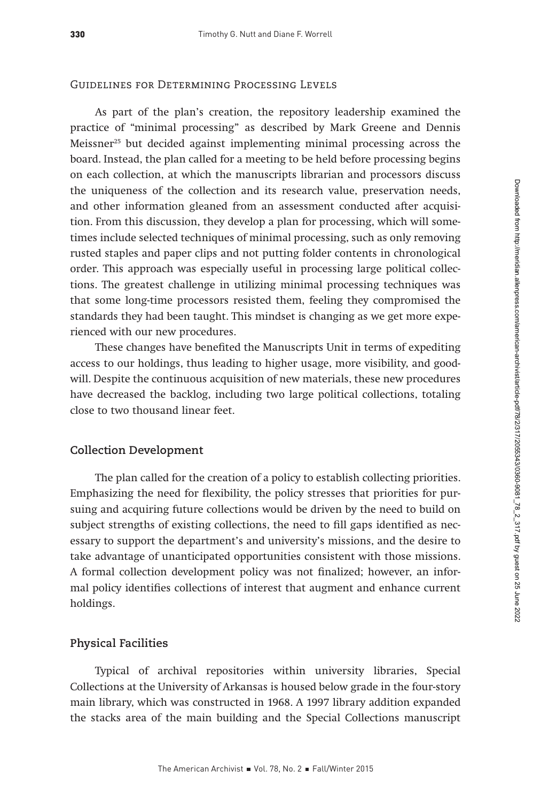#### Guidelines for Determining Processing Levels

As part of the plan's creation, the repository leadership examined the practice of "minimal processing" as described by Mark Greene and Dennis Meissner<sup>25</sup> but decided against implementing minimal processing across the board. Instead, the plan called for a meeting to be held before processing begins on each collection, at which the manuscripts librarian and processors discuss the uniqueness of the collection and its research value, preservation needs, and other information gleaned from an assessment conducted after acquisition. From this discussion, they develop a plan for processing, which will sometimes include selected techniques of minimal processing, such as only removing rusted staples and paper clips and not putting folder contents in chronological order. This approach was especially useful in processing large political collections. The greatest challenge in utilizing minimal processing techniques was that some long-time processors resisted them, feeling they compromised the standards they had been taught. This mindset is changing as we get more experienced with our new procedures.

These changes have benefited the Manuscripts Unit in terms of expediting access to our holdings, thus leading to higher usage, more visibility, and goodwill. Despite the continuous acquisition of new materials, these new procedures have decreased the backlog, including two large political collections, totaling close to two thousand linear feet.

## **Collection Development**

The plan called for the creation of a policy to establish collecting priorities. Emphasizing the need for flexibility, the policy stresses that priorities for pursuing and acquiring future collections would be driven by the need to build on subject strengths of existing collections, the need to fill gaps identified as necessary to support the department's and university's missions, and the desire to take advantage of unanticipated opportunities consistent with those missions. A formal collection development policy was not finalized; however, an informal policy identifies collections of interest that augment and enhance current holdings.

## **Physical Facilities**

Typical of archival repositories within university libraries, Special Collections at the University of Arkansas is housed below grade in the four-story main library, which was constructed in 1968. A 1997 library addition expanded the stacks area of the main building and the Special Collections manuscript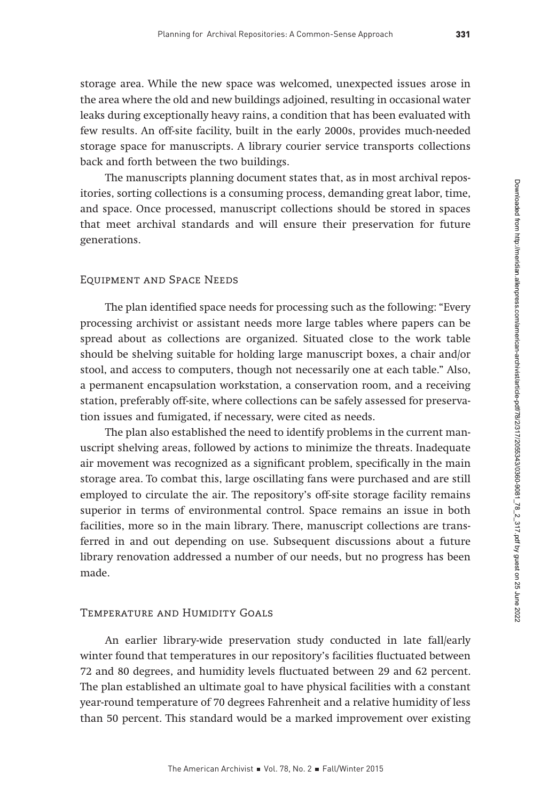storage area. While the new space was welcomed, unexpected issues arose in the area where the old and new buildings adjoined, resulting in occasional water leaks during exceptionally heavy rains, a condition that has been evaluated with few results. An off-site facility, built in the early 2000s, provides much-needed storage space for manuscripts. A library courier service transports collections back and forth between the two buildings.

The manuscripts planning document states that, as in most archival repositories, sorting collections is a consuming process, demanding great labor, time, and space. Once processed, manuscript collections should be stored in spaces that meet archival standards and will ensure their preservation for future generations.

#### Equipment and Space Needs

The plan identified space needs for processing such as the following: "Every processing archivist or assistant needs more large tables where papers can be spread about as collections are organized. Situated close to the work table should be shelving suitable for holding large manuscript boxes, a chair and/or stool, and access to computers, though not necessarily one at each table." Also, a permanent encapsulation workstation, a conservation room, and a receiving station, preferably off-site, where collections can be safely assessed for preservation issues and fumigated, if necessary, were cited as needs.

The plan also established the need to identify problems in the current manuscript shelving areas, followed by actions to minimize the threats. Inadequate air movement was recognized as a significant problem, specifically in the main storage area. To combat this, large oscillating fans were purchased and are still employed to circulate the air. The repository's off-site storage facility remains superior in terms of environmental control. Space remains an issue in both facilities, more so in the main library. There, manuscript collections are transferred in and out depending on use. Subsequent discussions about a future library renovation addressed a number of our needs, but no progress has been made.

#### Temperature and Humidity Goals

An earlier library-wide preservation study conducted in late fall/early winter found that temperatures in our repository's facilities fluctuated between 72 and 80 degrees, and humidity levels fluctuated between 29 and 62 percent. The plan established an ultimate goal to have physical facilities with a constant year-round temperature of 70 degrees Fahrenheit and a relative humidity of less than 50 percent. This standard would be a marked improvement over existing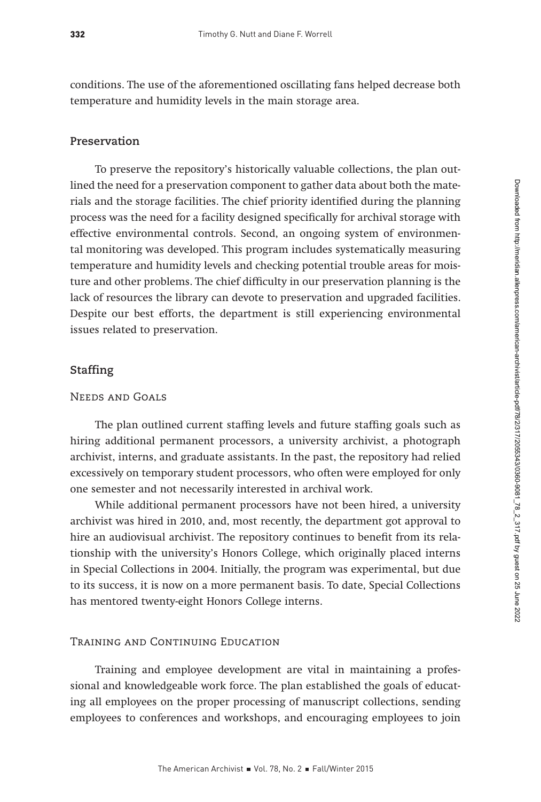conditions. The use of the aforementioned oscillating fans helped decrease both temperature and humidity levels in the main storage area.

## **Preservation**

To preserve the repository's historically valuable collections, the plan outlined the need for a preservation component to gather data about both the materials and the storage facilities. The chief priority identified during the planning process was the need for a facility designed specifically for archival storage with effective environmental controls. Second, an ongoing system of environmental monitoring was developed. This program includes systematically measuring temperature and humidity levels and checking potential trouble areas for moisture and other problems. The chief difficulty in our preservation planning is the lack of resources the library can devote to preservation and upgraded facilities. Despite our best efforts, the department is still experiencing environmental issues related to preservation.

## **Staffing**

## Needs and Goals

The plan outlined current staffing levels and future staffing goals such as hiring additional permanent processors, a university archivist, a photograph archivist, interns, and graduate assistants. In the past, the repository had relied excessively on temporary student processors, who often were employed for only one semester and not necessarily interested in archival work.

While additional permanent processors have not been hired, a university archivist was hired in 2010, and, most recently, the department got approval to hire an audiovisual archivist. The repository continues to benefit from its relationship with the university's Honors College, which originally placed interns in Special Collections in 2004. Initially, the program was experimental, but due to its success, it is now on a more permanent basis. To date, Special Collections has mentored twenty-eight Honors College interns.

#### Training and Continuing Education

Training and employee development are vital in maintaining a professional and knowledgeable work force. The plan established the goals of educating all employees on the proper processing of manuscript collections, sending employees to conferences and workshops, and encouraging employees to join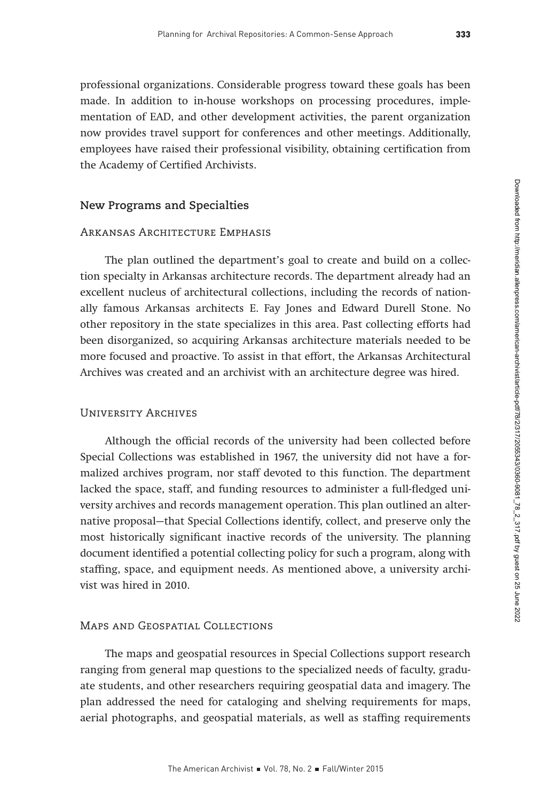professional organizations. Considerable progress toward these goals has been made. In addition to in-house workshops on processing procedures, implementation of EAD, and other development activities, the parent organization now provides travel support for conferences and other meetings. Additionally, employees have raised their professional visibility, obtaining certification from the Academy of Certified Archivists.

## **New Programs and Specialties**

#### Arkansas Architecture Emphasis

The plan outlined the department's goal to create and build on a collection specialty in Arkansas architecture records. The department already had an excellent nucleus of architectural collections, including the records of nationally famous Arkansas architects E. Fay Jones and Edward Durell Stone. No other repository in the state specializes in this area. Past collecting efforts had been disorganized, so acquiring Arkansas architecture materials needed to be more focused and proactive. To assist in that effort, the Arkansas Architectural Archives was created and an archivist with an architecture degree was hired.

## University Archives

Although the official records of the university had been collected before Special Collections was established in 1967, the university did not have a formalized archives program, nor staff devoted to this function. The department lacked the space, staff, and funding resources to administer a full-fledged university archives and records management operation. This plan outlined an alternative proposal—that Special Collections identify, collect, and preserve only the most historically significant inactive records of the university. The planning document identified a potential collecting policy for such a program, along with staffing, space, and equipment needs. As mentioned above, a university archivist was hired in 2010.

#### Maps and Geospatial Collections

The maps and geospatial resources in Special Collections support research ranging from general map questions to the specialized needs of faculty, graduate students, and other researchers requiring geospatial data and imagery. The plan addressed the need for cataloging and shelving requirements for maps, aerial photographs, and geospatial materials, as well as staffing requirements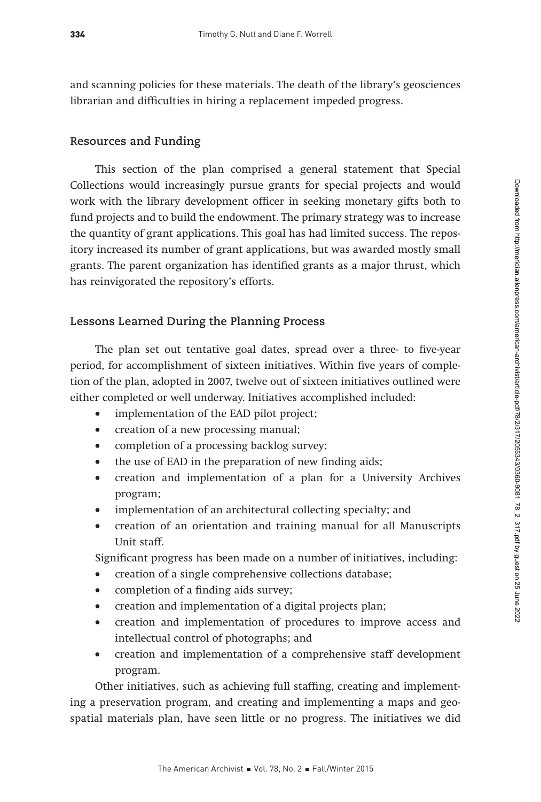and scanning policies for these materials. The death of the library's geosciences librarian and difficulties in hiring a replacement impeded progress.

# **Resources and Funding**

This section of the plan comprised a general statement that Special Collections would increasingly pursue grants for special projects and would work with the library development officer in seeking monetary gifts both to fund projects and to build the endowment. The primary strategy was to increase the quantity of grant applications. This goal has had limited success. The repository increased its number of grant applications, but was awarded mostly small grants. The parent organization has identified grants as a major thrust, which has reinvigorated the repository's efforts.

## **Lessons Learned During the Planning Process**

The plan set out tentative goal dates, spread over a three- to five-year period, for accomplishment of sixteen initiatives. Within five years of completion of the plan, adopted in 2007, twelve out of sixteen initiatives outlined were either completed or well underway. Initiatives accomplished included:

- implementation of the EAD pilot project;
- creation of a new processing manual;
- completion of a processing backlog survey;
- the use of EAD in the preparation of new finding aids;
- creation and implementation of a plan for a University Archives program;
- implementation of an architectural collecting specialty; and
- creation of an orientation and training manual for all Manuscripts Unit staff.

Significant progress has been made on a number of initiatives, including:

- creation of a single comprehensive collections database;
- completion of a finding aids survey;
- creation and implementation of a digital projects plan;
- creation and implementation of procedures to improve access and intellectual control of photographs; and
- creation and implementation of a comprehensive staff development program.

Other initiatives, such as achieving full staffing, creating and implementing a preservation program, and creating and implementing a maps and geospatial materials plan, have seen little or no progress. The initiatives we did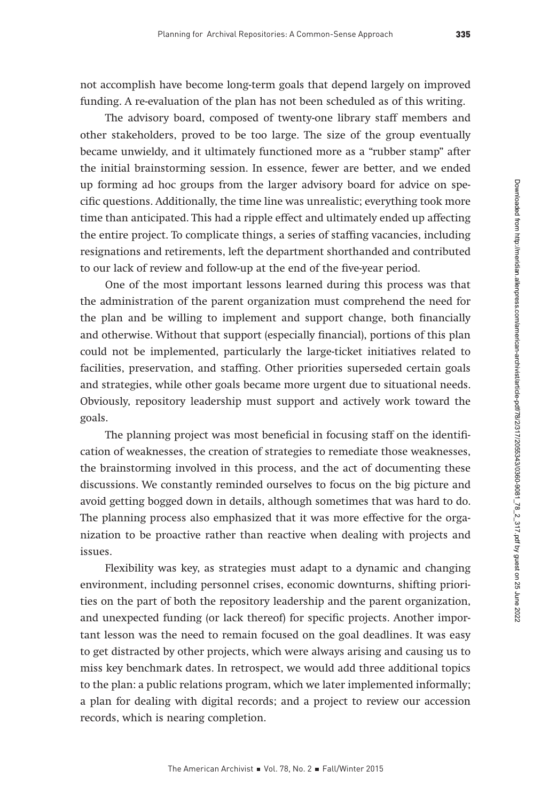not accomplish have become long-term goals that depend largely on improved funding. A re-evaluation of the plan has not been scheduled as of this writing.

The advisory board, composed of twenty-one library staff members and other stakeholders, proved to be too large. The size of the group eventually became unwieldy, and it ultimately functioned more as a "rubber stamp" after the initial brainstorming session. In essence, fewer are better, and we ended up forming ad hoc groups from the larger advisory board for advice on specific questions. Additionally, the time line was unrealistic; everything took more time than anticipated. This had a ripple effect and ultimately ended up affecting the entire project. To complicate things, a series of staffing vacancies, including resignations and retirements, left the department shorthanded and contributed to our lack of review and follow-up at the end of the five-year period.

One of the most important lessons learned during this process was that the administration of the parent organization must comprehend the need for the plan and be willing to implement and support change, both financially and otherwise. Without that support (especially financial), portions of this plan could not be implemented, particularly the large-ticket initiatives related to facilities, preservation, and staffing. Other priorities superseded certain goals and strategies, while other goals became more urgent due to situational needs. Obviously, repository leadership must support and actively work toward the goals.

The planning project was most beneficial in focusing staff on the identification of weaknesses, the creation of strategies to remediate those weaknesses, the brainstorming involved in this process, and the act of documenting these discussions. We constantly reminded ourselves to focus on the big picture and avoid getting bogged down in details, although sometimes that was hard to do. The planning process also emphasized that it was more effective for the organization to be proactive rather than reactive when dealing with projects and issues.

Flexibility was key, as strategies must adapt to a dynamic and changing environment, including personnel crises, economic downturns, shifting priorities on the part of both the repository leadership and the parent organization, and unexpected funding (or lack thereof) for specific projects. Another important lesson was the need to remain focused on the goal deadlines. It was easy to get distracted by other projects, which were always arising and causing us to miss key benchmark dates. In retrospect, we would add three additional topics to the plan: a public relations program, which we later implemented informally; a plan for dealing with digital records; and a project to review our accession records, which is nearing completion.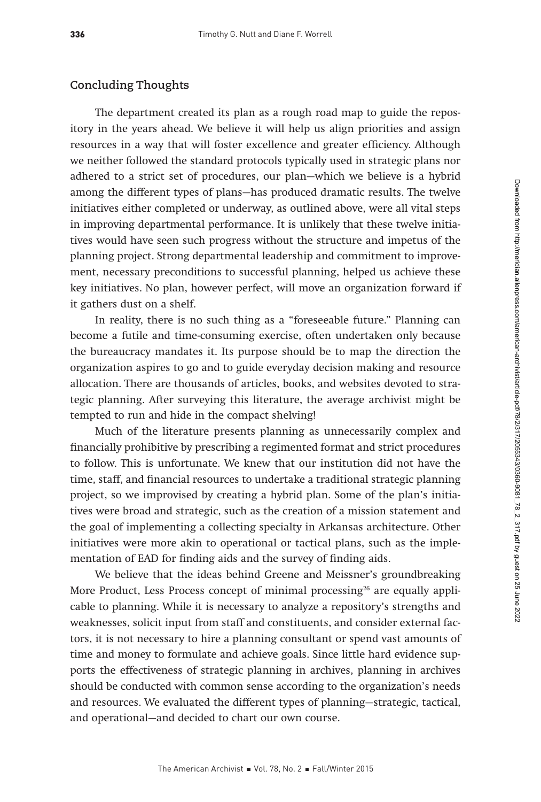## **Concluding Thoughts**

The department created its plan as a rough road map to guide the repository in the years ahead. We believe it will help us align priorities and assign resources in a way that will foster excellence and greater efficiency. Although we neither followed the standard protocols typically used in strategic plans nor adhered to a strict set of procedures, our plan—which we believe is a hybrid among the different types of plans—has produced dramatic results. The twelve initiatives either completed or underway, as outlined above, were all vital steps in improving departmental performance. It is unlikely that these twelve initiatives would have seen such progress without the structure and impetus of the planning project. Strong departmental leadership and commitment to improvement, necessary preconditions to successful planning, helped us achieve these key initiatives. No plan, however perfect, will move an organization forward if it gathers dust on a shelf.

In reality, there is no such thing as a "foreseeable future." Planning can become a futile and time-consuming exercise, often undertaken only because the bureaucracy mandates it. Its purpose should be to map the direction the organization aspires to go and to guide everyday decision making and resource allocation. There are thousands of articles, books, and websites devoted to strategic planning. After surveying this literature, the average archivist might be tempted to run and hide in the compact shelving!

Much of the literature presents planning as unnecessarily complex and financially prohibitive by prescribing a regimented format and strict procedures to follow. This is unfortunate. We knew that our institution did not have the time, staff, and financial resources to undertake a traditional strategic planning project, so we improvised by creating a hybrid plan. Some of the plan's initiatives were broad and strategic, such as the creation of a mission statement and the goal of implementing a collecting specialty in Arkansas architecture. Other initiatives were more akin to operational or tactical plans, such as the implementation of EAD for finding aids and the survey of finding aids.

We believe that the ideas behind Greene and Meissner's groundbreaking More Product, Less Process concept of minimal processing<sup>26</sup> are equally applicable to planning. While it is necessary to analyze a repository's strengths and weaknesses, solicit input from staff and constituents, and consider external factors, it is not necessary to hire a planning consultant or spend vast amounts of time and money to formulate and achieve goals. Since little hard evidence supports the effectiveness of strategic planning in archives, planning in archives should be conducted with common sense according to the organization's needs and resources. We evaluated the different types of planning—strategic, tactical, and operational—and decided to chart our own course.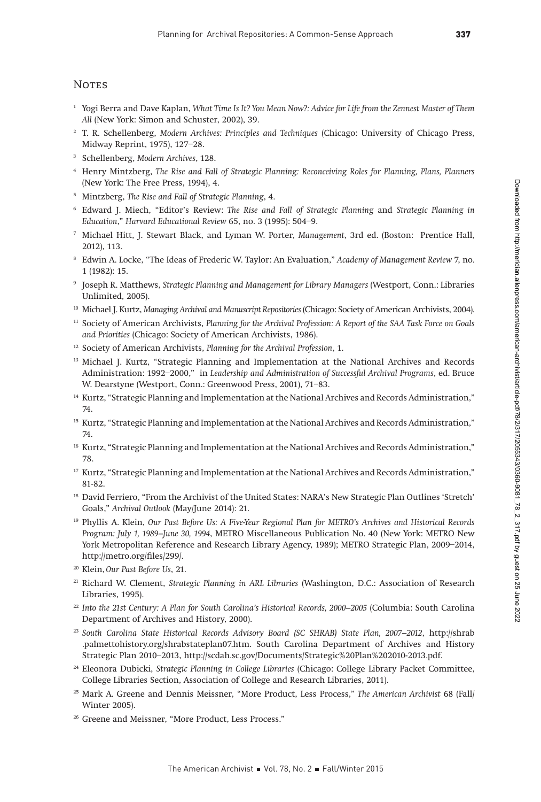#### **NOTES**

- <sup>1</sup> Yogi Berra and Dave Kaplan, What Time Is It? You Mean Now?: Advice for Life from the Zennest Master of Them All (New York: Simon and Schuster, 2002), 39.
- <sup>2</sup> T. R. Schellenberg, Modern Archives: Principles and Techniques (Chicago: University of Chicago Press, Midway Reprint, 1975), 127–28.
- <sup>3</sup> Schellenberg, Modern Archives, 128.
- <sup>4</sup> Henry Mintzberg, The Rise and Fall of Strategic Planning: Reconceiving Roles for Planning, Plans, Planners (New York: The Free Press, 1994), 4.
- <sup>5</sup> Mintzberg, The Rise and Fall of Strategic Planning, 4.
- <sup>6</sup> Edward J. Miech, "Editor's Review: The Rise and Fall of Strategic Planning and Strategic Planning in Education," Harvard Educational Review 65, no. 3 (1995): 504–9.
- <sup>7</sup> Michael Hitt, J. Stewart Black, and Lyman W. Porter, Management, 3rd ed. (Boston: Prentice Hall, 2012), 113.
- <sup>8</sup> Edwin A. Locke, "The Ideas of Frederic W. Taylor: An Evaluation," Academy of Management Review 7, no. 1 (1982): 15.
- <sup>9</sup> Joseph R. Matthews, Strategic Planning and Management for Library Managers (Westport, Conn.: Libraries Unlimited, 2005).
- <sup>10</sup> Michael J. Kurtz, Managing Archival and Manuscript Repositories (Chicago: Society of American Archivists, 2004).
- <sup>11</sup> Society of American Archivists, Planning for the Archival Profession: A Report of the SAA Task Force on Goals and Priorities (Chicago: Society of American Archivists, 1986).
- <sup>12</sup> Society of American Archivists, Planning for the Archival Profession, 1.
- <sup>13</sup> Michael J. Kurtz, "Strategic Planning and Implementation at the National Archives and Records Administration: 1992–2000," in Leadership and Administration of Successful Archival Programs, ed. Bruce W. Dearstyne (Westport, Conn.: Greenwood Press, 2001), 71–83.
- <sup>14</sup> Kurtz, "Strategic Planning and Implementation at the National Archives and Records Administration," 74.
- <sup>15</sup> Kurtz, "Strategic Planning and Implementation at the National Archives and Records Administration," 74.
- <sup>16</sup> Kurtz, "Strategic Planning and Implementation at the National Archives and Records Administration," 78.
- <sup>17</sup> Kurtz, "Strategic Planning and Implementation at the National Archives and Records Administration," 81-82.
- <sup>18</sup> David Ferriero, "From the Archivist of the United States: NARA's New Strategic Plan Outlines 'Stretch' Goals," Archival Outlook (May/June 2014): 21.
- <sup>19</sup> Phyllis A. Klein, Our Past Before Us: A Five-Year Regional Plan for METRO's Archives and Historical Records Program: July 1, 1989–June 30, 1994, METRO Miscellaneous Publication No. 40 (New York: METRO New York Metropolitan Reference and Research Library Agency, 1989); METRO Strategic Plan, 2009–2014, http://metro.org/files/299/.
- <sup>20</sup> Klein, Our Past Before Us, 21.
- <sup>21</sup> Richard W. Clement, Strategic Planning in ARL Libraries (Washington, D.C.: Association of Research Libraries, 1995).
- <sup>22</sup> Into the 21st Century: A Plan for South Carolina's Historical Records, 2000–2005 (Columbia: South Carolina Department of Archives and History, 2000).
- <sup>23</sup> South Carolina State Historical Records Advisory Board (SC SHRAB) State Plan, 2007–2012, http://shrab .palmettohistory.org/shrabstateplan07.htm. South Carolina Department of Archives and History Strategic Plan 2010–2013, http://scdah.sc.gov/Documents/Strategic%20Plan%202010-2013.pdf.
- <sup>24</sup> Eleonora Dubicki, Strategic Planning in College Libraries (Chicago: College Library Packet Committee, College Libraries Section, Association of College and Research Libraries, 2011).
- <sup>25</sup> Mark A. Greene and Dennis Meissner, "More Product, Less Process," The American Archivist 68 (Fall/ Winter 2005).
- <sup>26</sup> Greene and Meissner, "More Product, Less Process."